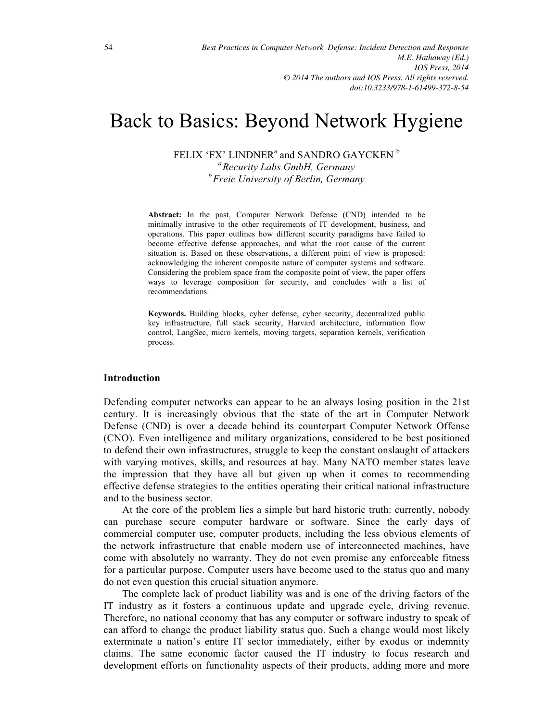# Back to Basics: Beyond Network Hygiene

FELIX 'FX' LINDNER $^{\rm a}$  and SANDRO GAYCKEN  $^{\rm b}$ *a Recurity Labs GmbH, Germany b Freie University of Berlin, Germany* 

**Abstract:** In the past, Computer Network Defense (CND) intended to be minimally intrusive to the other requirements of IT development, business, and operations. This paper outlines how different security paradigms have failed to become effective defense approaches, and what the root cause of the current situation is. Based on these observations, a different point of view is proposed: acknowledging the inherent composite nature of computer systems and software. Considering the problem space from the composite point of view, the paper offers ways to leverage composition for security, and concludes with a list of recommendations.

**Keywords.** Building blocks, cyber defense, cyber security, decentralized public key infrastructure, full stack security, Harvard architecture, information flow control, LangSec, micro kernels, moving targets, separation kernels, verification process.

#### **Introduction**

Defending computer networks can appear to be an always losing position in the 21st century. It is increasingly obvious that the state of the art in Computer Network Defense (CND) is over a decade behind its counterpart Computer Network Offense (CNO). Even intelligence and military organizations, considered to be best positioned to defend their own infrastructures, struggle to keep the constant onslaught of attackers with varying motives, skills, and resources at bay. Many NATO member states leave the impression that they have all but given up when it comes to recommending effective defense strategies to the entities operating their critical national infrastructure and to the business sector.

At the core of the problem lies a simple but hard historic truth: currently, nobody can purchase secure computer hardware or software. Since the early days of commercial computer use, computer products, including the less obvious elements of the network infrastructure that enable modern use of interconnected machines, have come with absolutely no warranty. They do not even promise any enforceable fitness for a particular purpose. Computer users have become used to the status quo and many do not even question this crucial situation anymore.

The complete lack of product liability was and is one of the driving factors of the IT industry as it fosters a continuous update and upgrade cycle, driving revenue. Therefore, no national economy that has any computer or software industry to speak of can afford to change the product liability status quo. Such a change would most likely exterminate a nation's entire IT sector immediately, either by exodus or indemnity claims. The same economic factor caused the IT industry to focus research and development efforts on functionality aspects of their products, adding more and more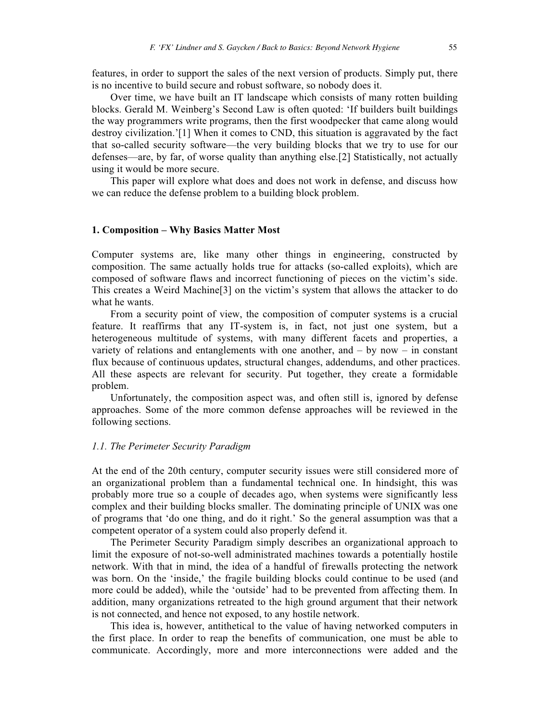features, in order to support the sales of the next version of products. Simply put, there is no incentive to build secure and robust software, so nobody does it.

Over time, we have built an IT landscape which consists of many rotten building blocks. Gerald M. Weinberg's Second Law is often quoted: 'If builders built buildings the way programmers write programs, then the first woodpecker that came along would destroy civilization.'[1] When it comes to CND, this situation is aggravated by the fact that so-called security software—the very building blocks that we try to use for our defenses—are, by far, of worse quality than anything else.[2] Statistically, not actually using it would be more secure.

This paper will explore what does and does not work in defense, and discuss how we can reduce the defense problem to a building block problem.

#### **1. Composition – Why Basics Matter Most**

Computer systems are, like many other things in engineering, constructed by composition. The same actually holds true for attacks (so-called exploits), which are composed of software flaws and incorrect functioning of pieces on the victim's side. This creates a Weird Machine[3] on the victim's system that allows the attacker to do what he wants.

From a security point of view, the composition of computer systems is a crucial feature. It reaffirms that any IT-system is, in fact, not just one system, but a heterogeneous multitude of systems, with many different facets and properties, a variety of relations and entanglements with one another, and  $-$  by now  $-$  in constant flux because of continuous updates, structural changes, addendums, and other practices. All these aspects are relevant for security. Put together, they create a formidable problem.

Unfortunately, the composition aspect was, and often still is, ignored by defense approaches. Some of the more common defense approaches will be reviewed in the following sections.

# *1.1. The Perimeter Security Paradigm*

At the end of the 20th century, computer security issues were still considered more of an organizational problem than a fundamental technical one. In hindsight, this was probably more true so a couple of decades ago, when systems were significantly less complex and their building blocks smaller. The dominating principle of UNIX was one of programs that 'do one thing, and do it right.' So the general assumption was that a competent operator of a system could also properly defend it.

The Perimeter Security Paradigm simply describes an organizational approach to limit the exposure of not-so-well administrated machines towards a potentially hostile network. With that in mind, the idea of a handful of firewalls protecting the network was born. On the 'inside,' the fragile building blocks could continue to be used (and more could be added), while the 'outside' had to be prevented from affecting them. In addition, many organizations retreated to the high ground argument that their network is not connected, and hence not exposed, to any hostile network.

This idea is, however, antithetical to the value of having networked computers in the first place. In order to reap the benefits of communication, one must be able to communicate. Accordingly, more and more interconnections were added and the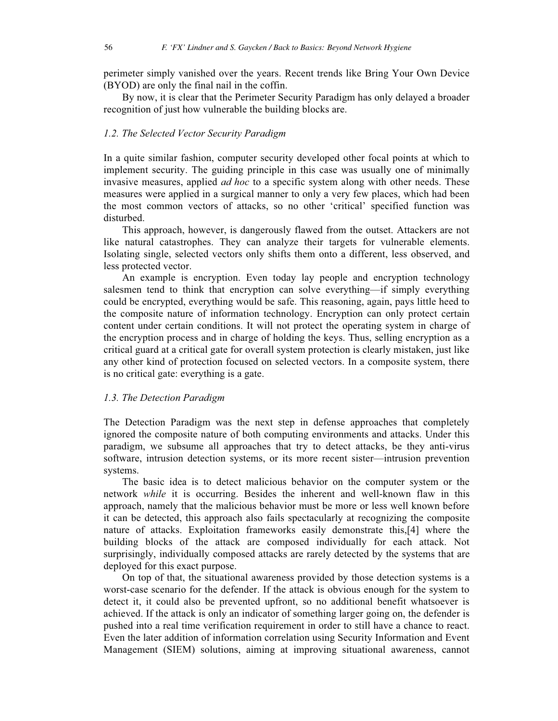perimeter simply vanished over the years. Recent trends like Bring Your Own Device (BYOD) are only the final nail in the coffin.

By now, it is clear that the Perimeter Security Paradigm has only delayed a broader recognition of just how vulnerable the building blocks are.

# *1.2. The Selected Vector Security Paradigm*

In a quite similar fashion, computer security developed other focal points at which to implement security. The guiding principle in this case was usually one of minimally invasive measures, applied *ad hoc* to a specific system along with other needs. These measures were applied in a surgical manner to only a very few places, which had been the most common vectors of attacks, so no other 'critical' specified function was disturbed.

This approach, however, is dangerously flawed from the outset. Attackers are not like natural catastrophes. They can analyze their targets for vulnerable elements. Isolating single, selected vectors only shifts them onto a different, less observed, and less protected vector.

An example is encryption. Even today lay people and encryption technology salesmen tend to think that encryption can solve everything—if simply everything could be encrypted, everything would be safe. This reasoning, again, pays little heed to the composite nature of information technology. Encryption can only protect certain content under certain conditions. It will not protect the operating system in charge of the encryption process and in charge of holding the keys. Thus, selling encryption as a critical guard at a critical gate for overall system protection is clearly mistaken, just like any other kind of protection focused on selected vectors. In a composite system, there is no critical gate: everything is a gate.

# *1.3. The Detection Paradigm*

The Detection Paradigm was the next step in defense approaches that completely ignored the composite nature of both computing environments and attacks. Under this paradigm, we subsume all approaches that try to detect attacks, be they anti-virus software, intrusion detection systems, or its more recent sister—intrusion prevention systems.

The basic idea is to detect malicious behavior on the computer system or the network *while* it is occurring. Besides the inherent and well-known flaw in this approach, namely that the malicious behavior must be more or less well known before it can be detected, this approach also fails spectacularly at recognizing the composite nature of attacks. Exploitation frameworks easily demonstrate this,[4] where the building blocks of the attack are composed individually for each attack. Not surprisingly, individually composed attacks are rarely detected by the systems that are deployed for this exact purpose.

On top of that, the situational awareness provided by those detection systems is a worst-case scenario for the defender. If the attack is obvious enough for the system to detect it, it could also be prevented upfront, so no additional benefit whatsoever is achieved. If the attack is only an indicator of something larger going on, the defender is pushed into a real time verification requirement in order to still have a chance to react. Even the later addition of information correlation using Security Information and Event Management (SIEM) solutions, aiming at improving situational awareness, cannot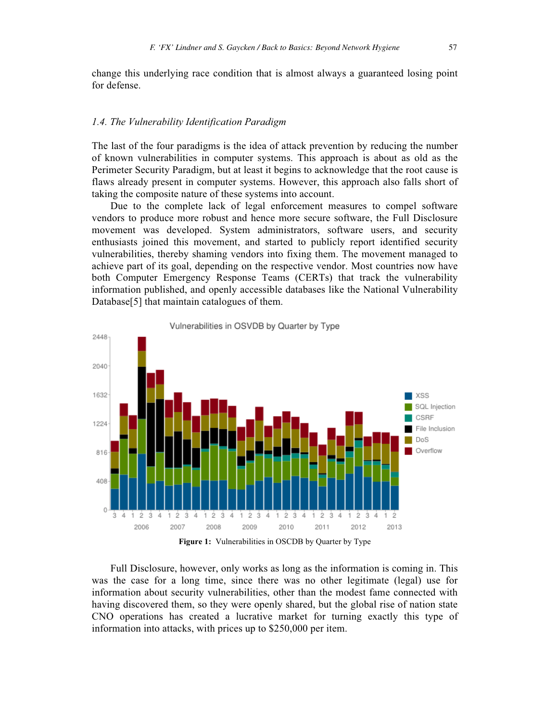change this underlying race condition that is almost always a guaranteed losing point for defense.

#### *1.4. The Vulnerability Identification Paradigm*

The last of the four paradigms is the idea of attack prevention by reducing the number of known vulnerabilities in computer systems. This approach is about as old as the Perimeter Security Paradigm, but at least it begins to acknowledge that the root cause is flaws already present in computer systems. However, this approach also falls short of taking the composite nature of these systems into account.

Due to the complete lack of legal enforcement measures to compel software vendors to produce more robust and hence more secure software, the Full Disclosure movement was developed. System administrators, software users, and security enthusiasts joined this movement, and started to publicly report identified security vulnerabilities, thereby shaming vendors into fixing them. The movement managed to achieve part of its goal, depending on the respective vendor. Most countries now have both Computer Emergency Response Teams (CERTs) that track the vulnerability information published, and openly accessible databases like the National Vulnerability Database[5] that maintain catalogues of them.



Full Disclosure, however, only works as long as the information is coming in. This was the case for a long time, since there was no other legitimate (legal) use for information about security vulnerabilities, other than the modest fame connected with having discovered them, so they were openly shared, but the global rise of nation state CNO operations has created a lucrative market for turning exactly this type of information into attacks, with prices up to \$250,000 per item.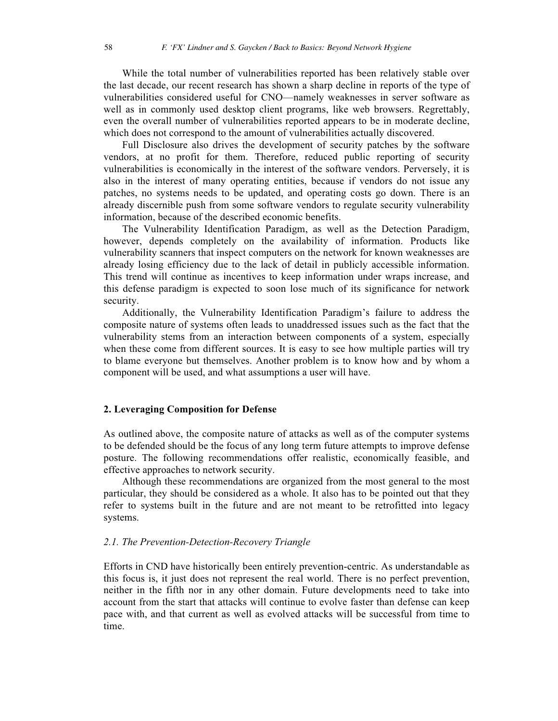While the total number of vulnerabilities reported has been relatively stable over the last decade, our recent research has shown a sharp decline in reports of the type of vulnerabilities considered useful for CNO—namely weaknesses in server software as well as in commonly used desktop client programs, like web browsers. Regrettably, even the overall number of vulnerabilities reported appears to be in moderate decline, which does not correspond to the amount of vulnerabilities actually discovered.

Full Disclosure also drives the development of security patches by the software vendors, at no profit for them. Therefore, reduced public reporting of security vulnerabilities is economically in the interest of the software vendors. Perversely, it is also in the interest of many operating entities, because if vendors do not issue any patches, no systems needs to be updated, and operating costs go down. There is an already discernible push from some software vendors to regulate security vulnerability information, because of the described economic benefits.

The Vulnerability Identification Paradigm, as well as the Detection Paradigm, however, depends completely on the availability of information. Products like vulnerability scanners that inspect computers on the network for known weaknesses are already losing efficiency due to the lack of detail in publicly accessible information. This trend will continue as incentives to keep information under wraps increase, and this defense paradigm is expected to soon lose much of its significance for network security.

Additionally, the Vulnerability Identification Paradigm's failure to address the composite nature of systems often leads to unaddressed issues such as the fact that the vulnerability stems from an interaction between components of a system, especially when these come from different sources. It is easy to see how multiple parties will try to blame everyone but themselves. Another problem is to know how and by whom a component will be used, and what assumptions a user will have.

#### **2. Leveraging Composition for Defense**

As outlined above, the composite nature of attacks as well as of the computer systems to be defended should be the focus of any long term future attempts to improve defense posture. The following recommendations offer realistic, economically feasible, and effective approaches to network security.

Although these recommendations are organized from the most general to the most particular, they should be considered as a whole. It also has to be pointed out that they refer to systems built in the future and are not meant to be retrofitted into legacy systems.

#### *2.1. The Prevention-Detection-Recovery Triangle*

Efforts in CND have historically been entirely prevention-centric. As understandable as this focus is, it just does not represent the real world. There is no perfect prevention, neither in the fifth nor in any other domain. Future developments need to take into account from the start that attacks will continue to evolve faster than defense can keep pace with, and that current as well as evolved attacks will be successful from time to time.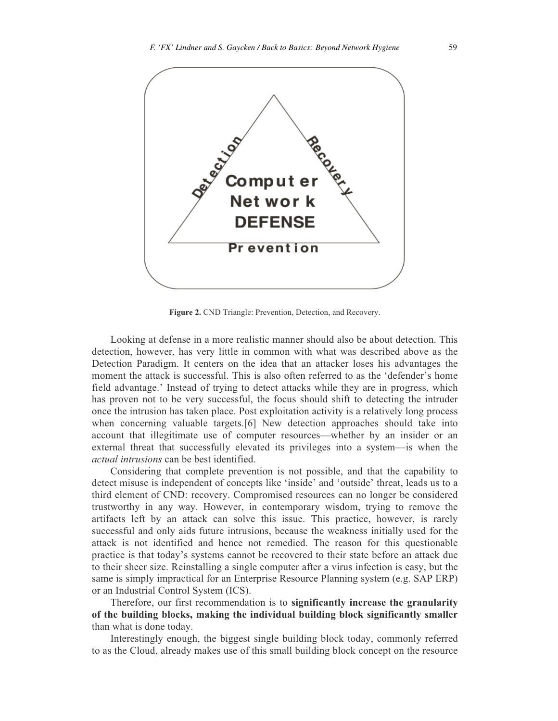

Figure 2. CND Triangle: Prevention, Detection, and Recovery.

Looking at defense in a more realistic manner should also be about detection. This detection, however, has very little in common with what was described above as the Detection Paradigm. It centers on the idea that an attacker loses his advantages the moment the attack is successful. This is also often referred to as the 'defender's home field advantage.' Instead of trying to detect attacks while they are in progress, which has proven not to be very successful, the focus should shift to detecting the intruder once the intrusion has taken place. Post exploitation activity is a relatively long process when concerning valuable targets.[6] New detection approaches should take into account that illegitimate use of computer resources—whether by an insider or an external threat that successfully elevated its privileges into a system—is when the *actual intrusions* can be best identified.

Considering that complete prevention is not possible, and that the capability to detect misuse is independent of concepts like 'inside' and 'outside' threat, leads us to a third element of CND: recovery. Compromised resources can no longer be considered trustworthy in any way. However, in contemporary wisdom, trying to remove the artifacts left by an attack can solve this issue. This practice, however, is rarely successful and only aids future intrusions, because the weakness initially used for the attack is not identified and hence not remedied. The reason for this questionable practice is that today's systems cannot be recovered to their state before an attack due to their sheer size. Reinstalling a single computer after a virus infection is easy, but the same is simply impractical for an Enterprise Resource Planning system (e.g. SAP ERP) or an Industrial Control System (ICS).

Therefore, our first recommendation is to **significantly increase the granularity of the building blocks, making the individual building block significantly smaller** than what is done today.

Interestingly enough, the biggest single building block today, commonly referred to as the Cloud, already makes use of this small building block concept on the resource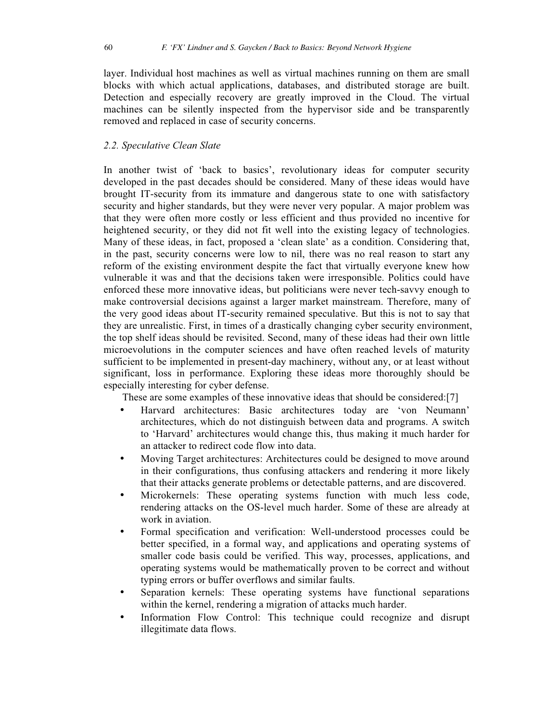layer. Individual host machines as well as virtual machines running on them are small blocks with which actual applications, databases, and distributed storage are built. Detection and especially recovery are greatly improved in the Cloud. The virtual machines can be silently inspected from the hypervisor side and be transparently removed and replaced in case of security concerns.

# *2.2. Speculative Clean Slate*

In another twist of 'back to basics', revolutionary ideas for computer security developed in the past decades should be considered. Many of these ideas would have brought IT-security from its immature and dangerous state to one with satisfactory security and higher standards, but they were never very popular. A major problem was that they were often more costly or less efficient and thus provided no incentive for heightened security, or they did not fit well into the existing legacy of technologies. Many of these ideas, in fact, proposed a 'clean slate' as a condition. Considering that, in the past, security concerns were low to nil, there was no real reason to start any reform of the existing environment despite the fact that virtually everyone knew how vulnerable it was and that the decisions taken were irresponsible. Politics could have enforced these more innovative ideas, but politicians were never tech-savvy enough to make controversial decisions against a larger market mainstream. Therefore, many of the very good ideas about IT-security remained speculative. But this is not to say that they are unrealistic. First, in times of a drastically changing cyber security environment, the top shelf ideas should be revisited. Second, many of these ideas had their own little microevolutions in the computer sciences and have often reached levels of maturity sufficient to be implemented in present-day machinery, without any, or at least without significant, loss in performance. Exploring these ideas more thoroughly should be especially interesting for cyber defense.

These are some examples of these innovative ideas that should be considered:[7]

- Harvard architectures: Basic architectures today are 'von Neumann' architectures, which do not distinguish between data and programs. A switch to 'Harvard' architectures would change this, thus making it much harder for an attacker to redirect code flow into data.
- Moving Target architectures: Architectures could be designed to move around in their configurations, thus confusing attackers and rendering it more likely that their attacks generate problems or detectable patterns, and are discovered.
- Microkernels: These operating systems function with much less code, rendering attacks on the OS-level much harder. Some of these are already at work in aviation.
- Formal specification and verification: Well-understood processes could be better specified, in a formal way, and applications and operating systems of smaller code basis could be verified. This way, processes, applications, and operating systems would be mathematically proven to be correct and without typing errors or buffer overflows and similar faults.
- Separation kernels: These operating systems have functional separations within the kernel, rendering a migration of attacks much harder.
- Information Flow Control: This technique could recognize and disrupt illegitimate data flows.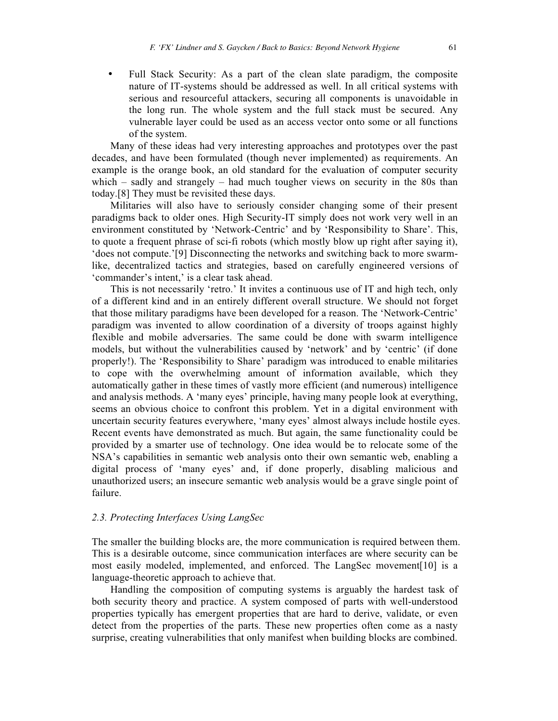• Full Stack Security: As a part of the clean slate paradigm, the composite nature of IT-systems should be addressed as well. In all critical systems with serious and resourceful attackers, securing all components is unavoidable in the long run. The whole system and the full stack must be secured. Any vulnerable layer could be used as an access vector onto some or all functions of the system.

Many of these ideas had very interesting approaches and prototypes over the past decades, and have been formulated (though never implemented) as requirements. An example is the orange book, an old standard for the evaluation of computer security which – sadly and strangely – had much tougher views on security in the 80s than today.[8] They must be revisited these days.

Militaries will also have to seriously consider changing some of their present paradigms back to older ones. High Security-IT simply does not work very well in an environment constituted by 'Network-Centric' and by 'Responsibility to Share'. This, to quote a frequent phrase of sci-fi robots (which mostly blow up right after saying it), 'does not compute.'[9] Disconnecting the networks and switching back to more swarmlike, decentralized tactics and strategies, based on carefully engineered versions of 'commander's intent,' is a clear task ahead.

This is not necessarily 'retro.' It invites a continuous use of IT and high tech, only of a different kind and in an entirely different overall structure. We should not forget that those military paradigms have been developed for a reason. The 'Network-Centric' paradigm was invented to allow coordination of a diversity of troops against highly flexible and mobile adversaries. The same could be done with swarm intelligence models, but without the vulnerabilities caused by 'network' and by 'centric' (if done properly!). The 'Responsibility to Share' paradigm was introduced to enable militaries to cope with the overwhelming amount of information available, which they automatically gather in these times of vastly more efficient (and numerous) intelligence and analysis methods. A 'many eyes' principle, having many people look at everything, seems an obvious choice to confront this problem. Yet in a digital environment with uncertain security features everywhere, 'many eyes' almost always include hostile eyes. Recent events have demonstrated as much. But again, the same functionality could be provided by a smarter use of technology. One idea would be to relocate some of the NSA's capabilities in semantic web analysis onto their own semantic web, enabling a digital process of 'many eyes' and, if done properly, disabling malicious and unauthorized users; an insecure semantic web analysis would be a grave single point of failure.

# *2.3. Protecting Interfaces Using LangSec*

The smaller the building blocks are, the more communication is required between them. This is a desirable outcome, since communication interfaces are where security can be most easily modeled, implemented, and enforced. The LangSec movement[10] is a language-theoretic approach to achieve that.

Handling the composition of computing systems is arguably the hardest task of both security theory and practice. A system composed of parts with well-understood properties typically has emergent properties that are hard to derive, validate, or even detect from the properties of the parts. These new properties often come as a nasty surprise, creating vulnerabilities that only manifest when building blocks are combined.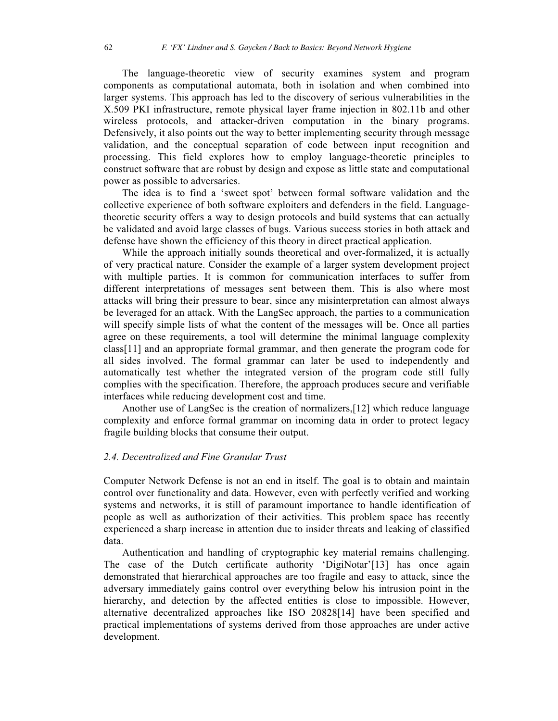The language-theoretic view of security examines system and program components as computational automata, both in isolation and when combined into larger systems. This approach has led to the discovery of serious vulnerabilities in the X.509 PKI infrastructure, remote physical layer frame injection in 802.11b and other wireless protocols, and attacker-driven computation in the binary programs. Defensively, it also points out the way to better implementing security through message validation, and the conceptual separation of code between input recognition and processing. This field explores how to employ language-theoretic principles to construct software that are robust by design and expose as little state and computational power as possible to adversaries.

The idea is to find a 'sweet spot' between formal software validation and the collective experience of both software exploiters and defenders in the field. Languagetheoretic security offers a way to design protocols and build systems that can actually be validated and avoid large classes of bugs. Various success stories in both attack and defense have shown the efficiency of this theory in direct practical application.

While the approach initially sounds theoretical and over-formalized, it is actually of very practical nature. Consider the example of a larger system development project with multiple parties. It is common for communication interfaces to suffer from different interpretations of messages sent between them. This is also where most attacks will bring their pressure to bear, since any misinterpretation can almost always be leveraged for an attack. With the LangSec approach, the parties to a communication will specify simple lists of what the content of the messages will be. Once all parties agree on these requirements, a tool will determine the minimal language complexity class[11] and an appropriate formal grammar, and then generate the program code for all sides involved. The formal grammar can later be used to independently and automatically test whether the integrated version of the program code still fully complies with the specification. Therefore, the approach produces secure and verifiable interfaces while reducing development cost and time.

Another use of LangSec is the creation of normalizers,[12] which reduce language complexity and enforce formal grammar on incoming data in order to protect legacy fragile building blocks that consume their output.

# *2.4. Decentralized and Fine Granular Trust*

Computer Network Defense is not an end in itself. The goal is to obtain and maintain control over functionality and data. However, even with perfectly verified and working systems and networks, it is still of paramount importance to handle identification of people as well as authorization of their activities. This problem space has recently experienced a sharp increase in attention due to insider threats and leaking of classified data.

Authentication and handling of cryptographic key material remains challenging. The case of the Dutch certificate authority 'DigiNotar'[13] has once again demonstrated that hierarchical approaches are too fragile and easy to attack, since the adversary immediately gains control over everything below his intrusion point in the hierarchy, and detection by the affected entities is close to impossible. However, alternative decentralized approaches like ISO 20828[14] have been specified and practical implementations of systems derived from those approaches are under active development.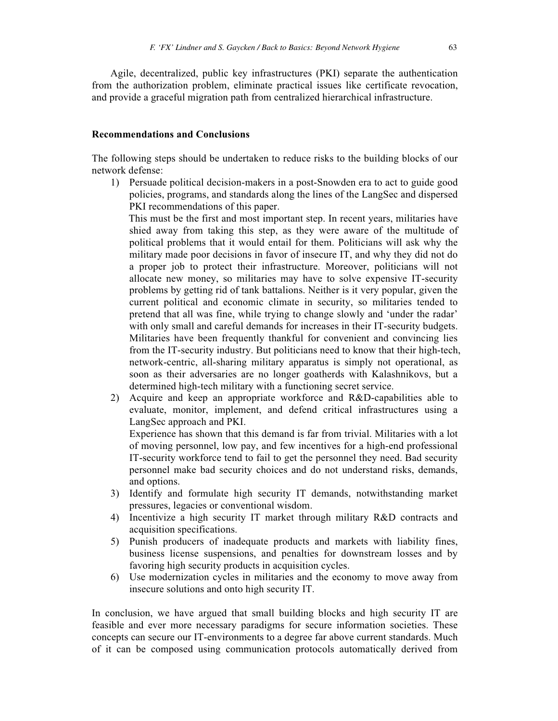Agile, decentralized, public key infrastructures (PKI) separate the authentication from the authorization problem, eliminate practical issues like certificate revocation, and provide a graceful migration path from centralized hierarchical infrastructure.

# **Recommendations and Conclusions**

The following steps should be undertaken to reduce risks to the building blocks of our network defense:

1) Persuade political decision-makers in a post-Snowden era to act to guide good policies, programs, and standards along the lines of the LangSec and dispersed PKI recommendations of this paper.

This must be the first and most important step. In recent years, militaries have shied away from taking this step, as they were aware of the multitude of political problems that it would entail for them. Politicians will ask why the military made poor decisions in favor of insecure IT, and why they did not do a proper job to protect their infrastructure. Moreover, politicians will not allocate new money, so militaries may have to solve expensive IT-security problems by getting rid of tank battalions. Neither is it very popular, given the current political and economic climate in security, so militaries tended to pretend that all was fine, while trying to change slowly and 'under the radar' with only small and careful demands for increases in their IT-security budgets. Militaries have been frequently thankful for convenient and convincing lies from the IT-security industry. But politicians need to know that their high-tech, network-centric, all-sharing military apparatus is simply not operational, as soon as their adversaries are no longer goatherds with Kalashnikovs, but a determined high-tech military with a functioning secret service.

2) Acquire and keep an appropriate workforce and R&D-capabilities able to evaluate, monitor, implement, and defend critical infrastructures using a LangSec approach and PKI.

Experience has shown that this demand is far from trivial. Militaries with a lot of moving personnel, low pay, and few incentives for a high-end professional IT-security workforce tend to fail to get the personnel they need. Bad security personnel make bad security choices and do not understand risks, demands, and options.

- 3) Identify and formulate high security IT demands, notwithstanding market pressures, legacies or conventional wisdom.
- 4) Incentivize a high security IT market through military R&D contracts and acquisition specifications.
- 5) Punish producers of inadequate products and markets with liability fines, business license suspensions, and penalties for downstream losses and by favoring high security products in acquisition cycles.
- 6) Use modernization cycles in militaries and the economy to move away from insecure solutions and onto high security IT.

In conclusion, we have argued that small building blocks and high security IT are feasible and ever more necessary paradigms for secure information societies. These concepts can secure our IT-environments to a degree far above current standards. Much of it can be composed using communication protocols automatically derived from